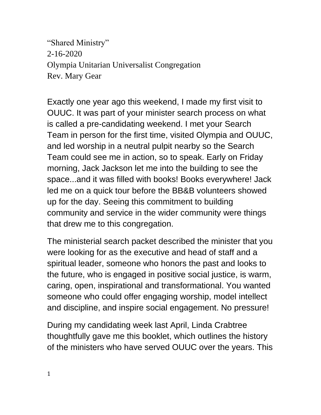"Shared Ministry" 2-16-2020 Olympia Unitarian Universalist Congregation Rev. Mary Gear

Exactly one year ago this weekend, I made my first visit to OUUC. It was part of your minister search process on what is called a pre-candidating weekend. I met your Search Team in person for the first time, visited Olympia and OUUC, and led worship in a neutral pulpit nearby so the Search Team could see me in action, so to speak. Early on Friday morning, Jack Jackson let me into the building to see the space...and it was filled with books! Books everywhere! Jack led me on a quick tour before the BB&B volunteers showed up for the day. Seeing this commitment to building community and service in the wider community were things that drew me to this congregation.

The ministerial search packet described the minister that you were looking for as the executive and head of staff and a spiritual leader, someone who honors the past and looks to the future, who is engaged in positive social justice, is warm, caring, open, inspirational and transformational. You wanted someone who could offer engaging worship, model intellect and discipline, and inspire social engagement. No pressure!

During my candidating week last April, Linda Crabtree thoughtfully gave me this booklet, which outlines the history of the ministers who have served OUUC over the years. This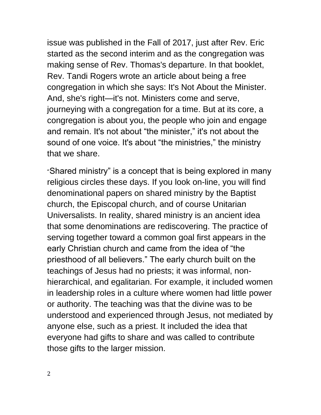issue was published in the Fall of 2017, just after Rev. Eric started as the second interim and as the congregation was making sense of Rev. Thomas's departure. In that booklet, Rev. Tandi Rogers wrote an article about being a free congregation in which she says: It's Not About the Minister. And, she's right—it's not. Ministers come and serve, journeying with a congregation for a time. But at its core, a congregation is about you, the people who join and engage and remain. It's not about "the minister," it's not about the sound of one voice. It's about "the ministries," the ministry that we share.

"Shared ministry" is a concept that is being explored in many religious circles these days. If you look on-line, you will find denominational papers on shared ministry by the Baptist church, the Episcopal church, and of course Unitarian Universalists. In reality, shared ministry is an ancient idea that some denominations are rediscovering. The practice of serving together toward a common goal first appears in the early Christian church and came from the idea of "the priesthood of all believers." The early church built on the teachings of Jesus had no priests; it was informal, nonhierarchical, and egalitarian. For example, it included women in leadership roles in a culture where women had little power or authority. The teaching was that the divine was to be understood and experienced through Jesus, not mediated by anyone else, such as a priest. It included the idea that everyone had gifts to share and was called to contribute those gifts to the larger mission.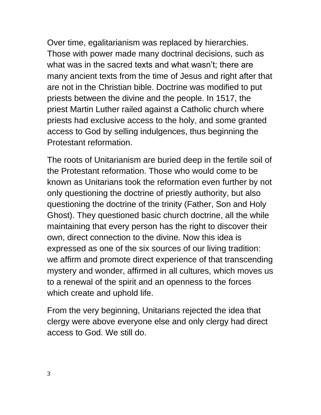Over time, egalitarianism was replaced by hierarchies. Those with power made many doctrinal decisions, such as what was in the sacred texts and what wasn't; there are many ancient texts from the time of Jesus and right after that are not in the Christian bible. Doctrine was modified to put priests between the divine and the people. In 1517, the priest Martin Luther railed against a Catholic church where priests had exclusive access to the holy, and some granted access to God by selling indulgences, thus beginning the Protestant reformation.

The roots of Unitarianism are buried deep in the fertile soil of the Protestant reformation. Those who would come to be known as Unitarians took the reformation even further by not only questioning the doctrine of priestly authority, but also questioning the doctrine of the trinity (Father, Son and Holy Ghost). They questioned basic church doctrine, all the while maintaining that every person has the right to discover their own, direct connection to the divine. Now this idea is expressed as one of the six sources of our living tradition: we affirm and promote direct experience of that transcending mystery and wonder, affirmed in all cultures, which moves us to a renewal of the spirit and an openness to the forces which create and uphold life.

From the very beginning, Unitarians rejected the idea that clergy were above everyone else and only clergy had direct access to God. We still do.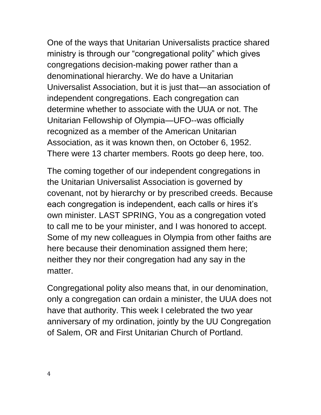One of the ways that Unitarian Universalists practice shared ministry is through our "congregational polity" which gives congregations decision-making power rather than a denominational hierarchy. We do have a Unitarian Universalist Association, but it is just that—an association of independent congregations. Each congregation can determine whether to associate with the UUA or not. The Unitarian Fellowship of Olympia—UFO--was officially recognized as a member of the American Unitarian Association, as it was known then, on October 6, 1952. There were 13 charter members. Roots go deep here, too.

The coming together of our independent congregations in the Unitarian Universalist Association is governed by covenant, not by hierarchy or by prescribed creeds. Because each congregation is independent, each calls or hires it's own minister. LAST SPRING, You as a congregation voted to call me to be your minister, and I was honored to accept. Some of my new colleagues in Olympia from other faiths are here because their denomination assigned them here; neither they nor their congregation had any say in the matter.

Congregational polity also means that, in our denomination, only a congregation can ordain a minister, the UUA does not have that authority. This week I celebrated the two year anniversary of my ordination, jointly by the UU Congregation of Salem, OR and First Unitarian Church of Portland.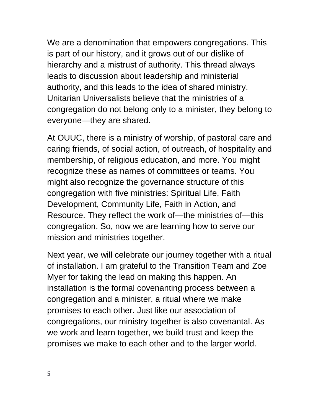We are a denomination that empowers congregations. This is part of our history, and it grows out of our dislike of hierarchy and a mistrust of authority. This thread always leads to discussion about leadership and ministerial authority, and this leads to the idea of shared ministry. Unitarian Universalists believe that the ministries of a congregation do not belong only to a minister, they belong to everyone—they are shared.

At OUUC, there is a ministry of worship, of pastoral care and caring friends, of social action, of outreach, of hospitality and membership, of religious education, and more. You might recognize these as names of committees or teams. You might also recognize the governance structure of this congregation with five ministries: Spiritual Life, Faith Development, Community Life, Faith in Action, and Resource. They reflect the work of—the ministries of—this congregation. So, now we are learning how to serve our mission and ministries together.

Next year, we will celebrate our journey together with a ritual of installation. I am grateful to the Transition Team and Zoe Myer for taking the lead on making this happen. An installation is the formal covenanting process between a congregation and a minister, a ritual where we make promises to each other. Just like our association of congregations, our ministry together is also covenantal. As we work and learn together, we build trust and keep the promises we make to each other and to the larger world.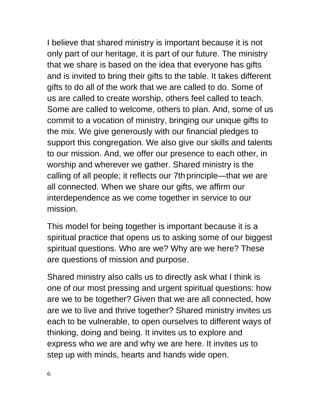I believe that shared ministry is important because it is not only part of our heritage, it is part of our future. The ministry that we share is based on the idea that everyone has gifts and is invited to bring their gifts to the table. It takes different gifts to do all of the work that we are called to do. Some of us are called to create worship, others feel called to teach. Some are called to welcome, others to plan. And, some of us commit to a vocation of ministry, bringing our unique gifts to the mix. We give generously with our financial pledges to support this congregation. We also give our skills and talents to our mission. And, we offer our presence to each other, in worship and wherever we gather. Shared ministry is the calling of all people; it reflects our 7th principle—that we are all connected. When we share our gifts, we affirm our interdependence as we come together in service to our mission.

This model for being together is important because it is a spiritual practice that opens us to asking some of our biggest spiritual questions. Who are we? Why are we here? These are questions of mission and purpose.

Shared ministry also calls us to directly ask what I think is one of our most pressing and urgent spiritual questions: how are we to be together? Given that we are all connected, how are we to live and thrive together? Shared ministry invites us each to be vulnerable, to open ourselves to different ways of thinking, doing and being. It invites us to explore and express who we are and why we are here. It invites us to step up with minds, hearts and hands wide open.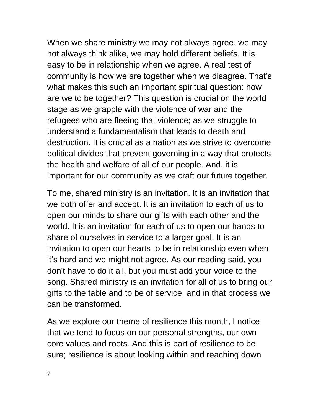When we share ministry we may not always agree, we may not always think alike, we may hold different beliefs. It is easy to be in relationship when we agree. A real test of community is how we are together when we disagree. That's what makes this such an important spiritual question: how are we to be together? This question is crucial on the world stage as we grapple with the violence of war and the refugees who are fleeing that violence; as we struggle to understand a fundamentalism that leads to death and destruction. It is crucial as a nation as we strive to overcome political divides that prevent governing in a way that protects the health and welfare of all of our people. And, it is important for our community as we craft our future together.

To me, shared ministry is an invitation. It is an invitation that we both offer and accept. It is an invitation to each of us to open our minds to share our gifts with each other and the world. It is an invitation for each of us to open our hands to share of ourselves in service to a larger goal. It is an invitation to open our hearts to be in relationship even when it's hard and we might not agree. As our reading said, you don't have to do it all, but you must add your voice to the song. Shared ministry is an invitation for all of us to bring our gifts to the table and to be of service, and in that process we can be transformed.

As we explore our theme of resilience this month, I notice that we tend to focus on our personal strengths, our own core values and roots. And this is part of resilience to be sure; resilience is about looking within and reaching down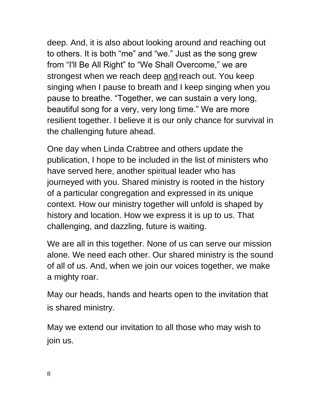deep. And, it is also about looking around and reaching out to others. It is both "me" and "we." Just as the song grew from "I'll Be All Right" to "We Shall Overcome," we are strongest when we reach deep and reach out. You keep singing when I pause to breath and I keep singing when you pause to breathe. "Together, we can sustain a very long, beautiful song for a very, very long time." We are more resilient together. I believe it is our only chance for survival in the challenging future ahead.

One day when Linda Crabtree and others update the publication, I hope to be included in the list of ministers who have served here, another spiritual leader who has journeyed with you. Shared ministry is rooted in the history of a particular congregation and expressed in its unique context. How our ministry together will unfold is shaped by history and location. How we express it is up to us. That challenging, and dazzling, future is waiting.

We are all in this together. None of us can serve our mission alone. We need each other. Our shared ministry is the sound of all of us. And, when we join our voices together, we make a mighty roar.

May our heads, hands and hearts open to the invitation that is shared ministry.

May we extend our invitation to all those who may wish to join us.